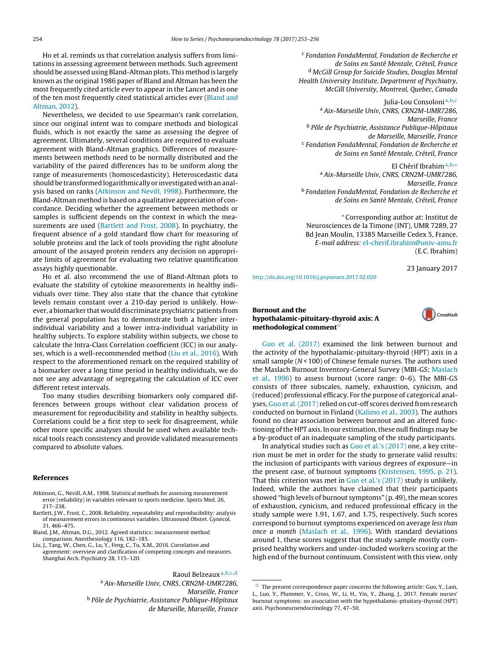Ho et al. reminds us that correlation analysis suffers from limitations in assessing agreement between methods. Such agreement should be assessed using Bland-Altman plots. This method is largely known as the original 1986 paper of Bland and Altman has been the most frequently cited article ever to appear in the Lancet and is one of the ten most frequently cited statistical articles ever (Bland and Altman, 2012).

Nevertheless, we decided to use Spearman's rank correlation, since our original intent was to compare methods and biological fluids, which is not exactly the same as assessing the degree of agreement. Ultimately, several conditions are required to evaluate agreement with Bland-Altman graphics. Differences of measurements between methods need to be normally distributed and the variability of the paired differences has to be uniform along the range of measurements (homoscedasticity). Heteroscedastic data should be transformed logarithmically or investigated with an analysis based on ranks (Atkinson and Nevill, 1998). Furthermore, the Bland-Altman method is based on a qualitative appreciation of concordance. Deciding whether the agreement between methods or samples is sufficient depends on the context in which the measurements are used (Bartlett and Frost, 2008). In psychiatry, the frequent absence of a gold standard flow chart for measuring of soluble proteins and the lack of tools providing the right absolute amount of the assayed protein renders any decision on appropriate limits of agreement for evaluating two relative quantification assays highly questionable.

Ho et al. also recommend the use of Bland-Altman plots to evaluate the stability of cytokine measurements in healthy individuals over time. They also state that the chance that cytokine levels remain constant over a 210-day period is unlikely. However, a biomarker that would discriminate psychiatric patients from the general population has to demonstrate both a higher interindividual variability and a lower intra-individual variability in healthy subjects. To explore stability within subjects, we chose to calculate the Intra-Class Correlation coefficient (ICC) in our analyses, which is a well-recommended method (Liu et al., 2016). With respect to the aforementioned remark on the required stability of a biomarker over a long time period in healthy individuals, we do not see any advantage of segregating the calculation of ICC over different retest intervals.

Too many studies describing biomarkers only compared differences between groups without clear validation process of measurement for reproducibility and stability in healthy subjects. Correlations could be a first step to seek for disagreement, while other more specific analyses should be used when available technical tools reach consistency and provide validated measurements compared to absolute values.

#### **References**

- Atkinson, G., Nevill, A.M., 1998. Statistical methods for assessing measurement error (reliability) in variables relevant to sports medicine. Sports Med. 26, 217–238.
- Bartlett, J.W., Frost, C., 2008. Reliability, repeatability and reproducibility: analysis of measurement errors in continuous variables. Ultrasound Obstet. Gynecol. 31, 466–475.
- Bland, J.M., Altman, D.G., 2012. Agreed statistics: measurement method comparison. Anesthesiology 116, 182–185.
- Liu, J., Tang, W., Chen, G., Lu, Y., Feng, C., Tu, X.M., 2016. Correlation and
- agreement: overview and clarification of competing concepts and measures. Shanghai Arch. Psychiatry 28, 115–120.

Raoul Belzeaux<sup>a,b,c,d</sup>

<sup>a</sup> Aix-Marseille Univ, CNRS, CRN2M-UMR7286, Marseille, France <sup>b</sup> Pôle de Psychiatrie, Assistance Publique-Hôpitaux de Marseille, Marseille, France

<sup>c</sup> Fondation FondaMental, Fondation de Recherche et de Soins en Santé Mentale, Créteil, France <sup>d</sup> McGill Group for Suicide Studies, Douglas Mental Health University Institute, Department of Psychiatry, McGill University, Montreal, Quebec, Canada

Julia-Lou Consoloni<sup>a, b, c</sup> <sup>a</sup> Aix-Marseille Univ, CNRS, CRN2M-UMR7286, Marseille, France <sup>b</sup> Pôle de Psychiatrie, Assistance Publique-Hôpitaux de Marseille, Marseille, France <sup>c</sup> Fondation FondaMental, Fondation de Recherche et de Soins en Santé Mentale, Créteil, France

# El Chérif Ibrahima,b,<sup>∗</sup>

<sup>a</sup> Aix-Marseille Univ, CNRS, CRN2M-UMR7286, Marseille, France <sup>b</sup> Fondation FondaMental, Fondation de Recherche et de Soins en Santé Mentale, Créteil, France

∗ Corresponding author at: Institut de Neurosciences de la Timone (INT), UMR 7289, 27 Bd Jean Moulin, 13385 Marseille Cedex 5, France. E-mail address: [el-cherif.ibrahim@univ-amu.fr](mailto:el-cherif.ibrahim@univ-amu.fr) (E.C. Ibrahim)

23 January 2017

<http://dx.doi.org/10.1016/j.psyneuen.2017.02.020>

## **Burnout and the hypothalamic-pituitary-thyroid axis: A methodological comment**-



[Guo et al. \(2017\)](#page-1-0) examined the link between burnout and the activity of the hypothalamic-pituitary-thyroid (HPT) axis in a small sample  $(N < 100)$  of Chinese female nurses. The authors used the Maslach Burnout Inventory-General Survey (MBI-GS; [Maslach](#page-1-0) [et al., 1996\)](#page-1-0) to assess burnout (score range: 0–6). The MBI-GS consists of three subscales, namely, exhaustion, cynicism, and (reduced) professional efficacy. For the purpose of categorical analyses, [Guo et al. \(2017\)](#page-1-0) relied on cut-off scores derived from research conducted on burnout in Finland ([Kalimo et al., 2003\).](#page-1-0) The authors found no clear association between burnout and an altered functioning of the HPT axis. In our estimation, these null findings may be a by-product of an inadequate sampling of the study participants.

In analytical studies such as [Guo et al.'s \(2017\)](#page-1-0) one, a key criterion must be met in order for the study to generate valid results: the inclusion of participants with various degrees of exposure—in the present case, of burnout symptoms [\(Kristensen, 1995, p. 21\).](#page-1-0) That this criterion was met in [Guo et al.'s \(2017\)](#page-1-0) study is unlikely. Indeed, while the authors have claimed that their participants showed "high levels of burnout symptoms" (p. 49), the mean scores of exhaustion, cynicism, and reduced professional efficacy in the study sample were 1.91, 1.67, and 1.75, respectively. Such scores correspond to burnout symptoms experienced on average less than once a month [\(Maslach et al., 1996\).](#page-1-0) With standard deviations around 1, these scores suggest that the study sample mostly comprised healthy workers and under-included workers scoring at the high end of the burnout continuum. Consistent with this view, only

 $\overline{\mathbf{x}}$  The present correspondence paper concerns the following article: Guo, Y., Lam, L., Luo, Y., Plummer, V., Cross, W., Li, H., Yin, Y., Zhang, J., 2017. Female nurses' burnout symptoms: no association with the hypothalamic-pituitary-thyroid (HPT) axis. Psychoneuroendocrinology 77, 47–50.